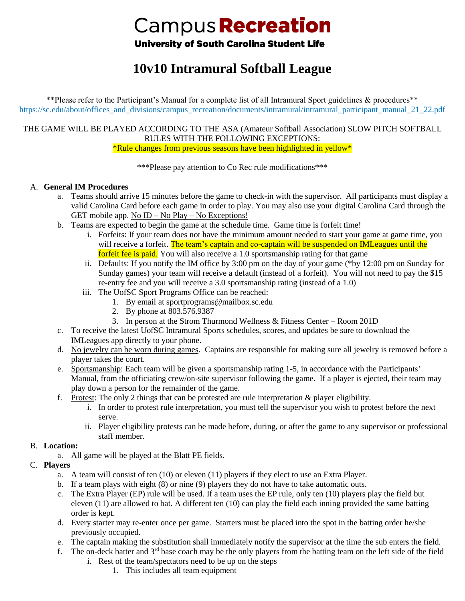# **Campus Recreation**

# **University of South Carolina Student Life**

# **10v10 Intramural Softball League**

\*\*Please refer to the Participant's Manual for a complete list of all Intramural Sport guidelines & procedures\*\* https://sc.edu/about/offices\_and\_divisions/campus\_recreation/documents/intramural/intramural\_participant\_manual\_21\_22.pdf

#### THE GAME WILL BE PLAYED ACCORDING TO THE ASA (Amateur Softball Association) SLOW PITCH SOFTBALL RULES WITH THE FOLLOWING EXCEPTIONS:

\*Rule changes from previous seasons have been highlighted in yellow\*

\*\*\*Please pay attention to Co Rec rule modifications\*\*\*

#### A. **General IM Procedures**

- a. Teams should arrive 15 minutes before the game to check-in with the supervisor. All participants must display a valid Carolina Card before each game in order to play. You may also use your digital Carolina Card through the GET mobile app. No  $ID - No Play - No Exceptions!$
- b. Teams are expected to begin the game at the schedule time. Game time is forfeit time!
	- i. Forfeits: If your team does not have the minimum amount needed to start your game at game time, you will receive a forfeit. The team's captain and co-captain will be suspended on IML eagues until the forfeit fee is paid. You will also receive a 1.0 sportsmanship rating for that game
	- ii. Defaults: If you notify the IM office by 3:00 pm on the day of your game (\*by 12:00 pm on Sunday for Sunday games) your team will receive a default (instead of a forfeit). You will not need to pay the \$15 re-entry fee and you will receive a 3.0 sportsmanship rating (instead of a 1.0)
	- iii. The UofSC Sport Programs Office can be reached:
		- 1. By email at sportprograms@mailbox.sc.edu
		- 2. By phone at 803.576.9387
		- 3. In person at the Strom Thurmond Wellness & Fitness Center Room 201D
- c. To receive the latest UofSC Intramural Sports schedules, scores, and updates be sure to download the IMLeagues app directly to your phone.
- d. No jewelry can be worn during games. Captains are responsible for making sure all jewelry is removed before a player takes the court.
- e. Sportsmanship: Each team will be given a sportsmanship rating 1-5, in accordance with the Participants' Manual, from the officiating crew/on-site supervisor following the game. If a player is ejected, their team may play down a person for the remainder of the game.
- f. Protest: The only 2 things that can be protested are rule interpretation & player eligibility.
	- i. In order to protest rule interpretation, you must tell the supervisor you wish to protest before the next serve.
	- ii. Player eligibility protests can be made before, during, or after the game to any supervisor or professional staff member.

#### B. **Location:**

- a. All game will be played at the Blatt PE fields.
- C. **Players**
	- a. A team will consist of ten (10) or eleven (11) players if they elect to use an Extra Player.
	- b. If a team plays with eight (8) or nine (9) players they do not have to take automatic outs.
	- c. The Extra Player (EP) rule will be used. If a team uses the EP rule, only ten (10) players play the field but eleven (11) are allowed to bat. A different ten (10) can play the field each inning provided the same batting order is kept.
	- d. Every starter may re-enter once per game. Starters must be placed into the spot in the batting order he/she previously occupied.
	- e. The captain making the substitution shall immediately notify the supervisor at the time the sub enters the field.
	- f. The on-deck batter and  $3<sup>rd</sup>$  base coach may be the only players from the batting team on the left side of the field
		- i. Rest of the team/spectators need to be up on the steps
			- 1. This includes all team equipment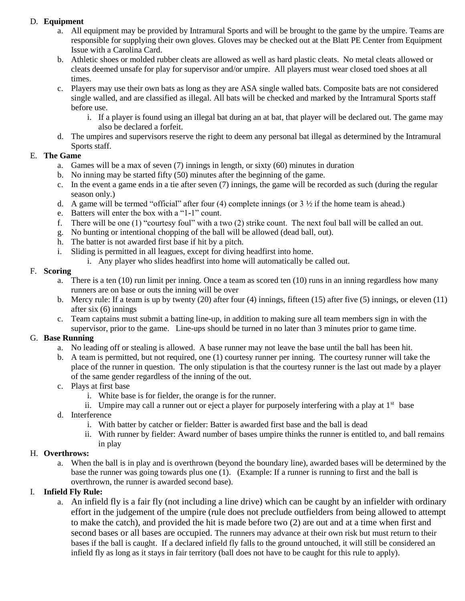#### D. **Equipment**

- a. All equipment may be provided by Intramural Sports and will be brought to the game by the umpire. Teams are responsible for supplying their own gloves. Gloves may be checked out at the Blatt PE Center from Equipment Issue with a Carolina Card.
- b. Athletic shoes or molded rubber cleats are allowed as well as hard plastic cleats. No metal cleats allowed or cleats deemed unsafe for play for supervisor and/or umpire. All players must wear closed toed shoes at all times.
- c. Players may use their own bats as long as they are ASA single walled bats. Composite bats are not considered single walled, and are classified as illegal. All bats will be checked and marked by the Intramural Sports staff before use.
	- i. If a player is found using an illegal bat during an at bat, that player will be declared out. The game may also be declared a forfeit.
- d. The umpires and supervisors reserve the right to deem any personal bat illegal as determined by the Intramural Sports staff.

#### E. **The Game**

- a. Games will be a max of seven (7) innings in length, or sixty (60) minutes in duration
- b. No inning may be started fifty (50) minutes after the beginning of the game.
- c. In the event a game ends in a tie after seven (7) innings, the game will be recorded as such (during the regular season only.)
- d. A game will be termed "official" after four (4) complete innings (or  $3\frac{1}{2}$  if the home team is ahead.)
- e. Batters will enter the box with a "1-1" count.
- f. There will be one (1) "courtesy foul" with a two (2) strike count. The next foul ball will be called an out.
- g. No bunting or intentional chopping of the ball will be allowed (dead ball, out).
- h. The batter is not awarded first base if hit by a pitch.
- i. Sliding is permitted in all leagues, except for diving headfirst into home.
	- i. Any player who slides headfirst into home will automatically be called out.

#### F. **Scoring**

- a. There is a ten (10) run limit per inning. Once a team as scored ten (10) runs in an inning regardless how many runners are on base or outs the inning will be over
- b. Mercy rule: If a team is up by twenty (20) after four (4) innings, fifteen (15) after five (5) innings, or eleven (11) after six (6) innings
- c. Team captains must submit a batting line-up, in addition to making sure all team members sign in with the supervisor, prior to the game. Line-ups should be turned in no later than 3 minutes prior to game time.

# G. **Base Running**

- a. No leading off or stealing is allowed. A base runner may not leave the base until the ball has been hit.
- b. A team is permitted, but not required, one (1) courtesy runner per inning. The courtesy runner will take the place of the runner in question. The only stipulation is that the courtesy runner is the last out made by a player of the same gender regardless of the inning of the out.
- c. Plays at first base
	- i. White base is for fielder, the orange is for the runner.
	- ii. Umpire may call a runner out or eject a player for purposely interfering with a play at  $1<sup>st</sup>$  base
- d. Interference
	- i. With batter by catcher or fielder: Batter is awarded first base and the ball is dead
	- ii. With runner by fielder: Award number of bases umpire thinks the runner is entitled to, and ball remains in play

# H. **Overthrows:**

a. When the ball is in play and is overthrown (beyond the boundary line), awarded bases will be determined by the base the runner was going towards plus one (1). (Example: If a runner is running to first and the ball is overthrown, the runner is awarded second base).

# I. **Infield Fly Rule:**

a. An infield fly is a fair fly (not including a line drive) which can be caught by an infielder with ordinary effort in the judgement of the umpire (rule does not preclude outfielders from being allowed to attempt to make the catch), and provided the hit is made before two (2) are out and at a time when first and second bases or all bases are occupied. The runners may advance at their own risk but must return to their bases if the ball is caught. If a declared infield fly falls to the ground untouched, it will still be considered an infield fly as long as it stays in fair territory (ball does not have to be caught for this rule to apply).